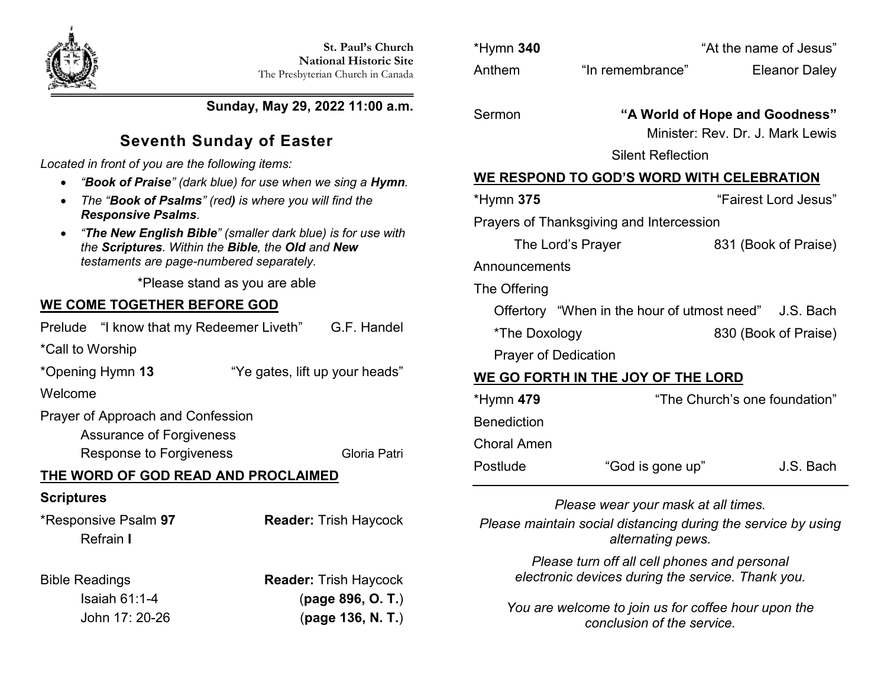

**Sunday, May 29, 2022 11:00 a.m.**

# **Seventh Sunday of Easter**

*Located in front of you are the following items:*

- *"Book of Praise" (dark blue) for use when we sing a Hymn.*
- *The "Book of Psalms" (red) is where you will find the Responsive Psalms.*
- *"The New English Bible" (smaller dark blue) is for use with the Scriptures. Within the Bible, the Old and New testaments are page-numbered separately.*

\*Please stand as you are able

## **WE COME TOGETHER BEFORE GOD**

Prelude "I know that my Redeemer Liveth" G.F. Handel

\*Call to Worship

\*Opening Hymn **13** "Ye gates, lift up your heads"

Welcome

Prayer of Approach and Confession

Assurance of Forgiveness

Response to Forgiveness Gloria Patri

## **THE WORD OF GOD READ AND PROCLAIMED**

## **Scriptures**

\*Responsive Psalm **97 Reader:** Trish Haycock Refrain **I**

Bible Readings **Reader:** Trish Haycock Isaiah 61:1-4 (**page 896, O. T.**) John 17: 20-26 (**page 136, N. T.**)

|                                          | *Hymn 340                                        |                   | "At the name of Jesus"                                |  |  |
|------------------------------------------|--------------------------------------------------|-------------------|-------------------------------------------------------|--|--|
|                                          | Anthem                                           | "In remembrance"  | <b>Eleanor Daley</b>                                  |  |  |
|                                          |                                                  |                   |                                                       |  |  |
|                                          | Sermon                                           |                   | "A World of Hope and Goodness"                        |  |  |
|                                          |                                                  |                   | Minister: Rev. Dr. J. Mark Lewis                      |  |  |
|                                          | <b>Silent Reflection</b>                         |                   |                                                       |  |  |
|                                          | <b>WE RESPOND TO GOD'S WORD WITH CELEBRATION</b> |                   |                                                       |  |  |
|                                          | *Hymn <b>375</b>                                 |                   | "Fairest Lord Jesus"                                  |  |  |
| Prayers of Thanksgiving and Intercession |                                                  |                   |                                                       |  |  |
|                                          |                                                  | The Lord's Prayer | 831 (Book of Praise)                                  |  |  |
|                                          | Announcements                                    |                   |                                                       |  |  |
|                                          | The Offering                                     |                   |                                                       |  |  |
|                                          |                                                  |                   | Offertory "When in the hour of utmost need" J.S. Bach |  |  |
|                                          | *The Doxology                                    |                   | 830 (Book of Praise)                                  |  |  |
|                                          | <b>Prayer of Dedication</b>                      |                   |                                                       |  |  |
| WE GO FORTH IN THE JOY OF THE LORD       |                                                  |                   |                                                       |  |  |
|                                          | *Hymn 479                                        |                   | "The Church's one foundation"                         |  |  |
|                                          |                                                  |                   |                                                       |  |  |

**Benediction** Choral Amen Postlude "God is gone up" J.S. Bach

*Please wear your mask at all times.*

*Please maintain social distancing during the service by using alternating pews.*

> *Please turn off all cell phones and personal electronic devices during the service. Thank you.*

*You are welcome to join us for coffee hour upon the conclusion of the service.*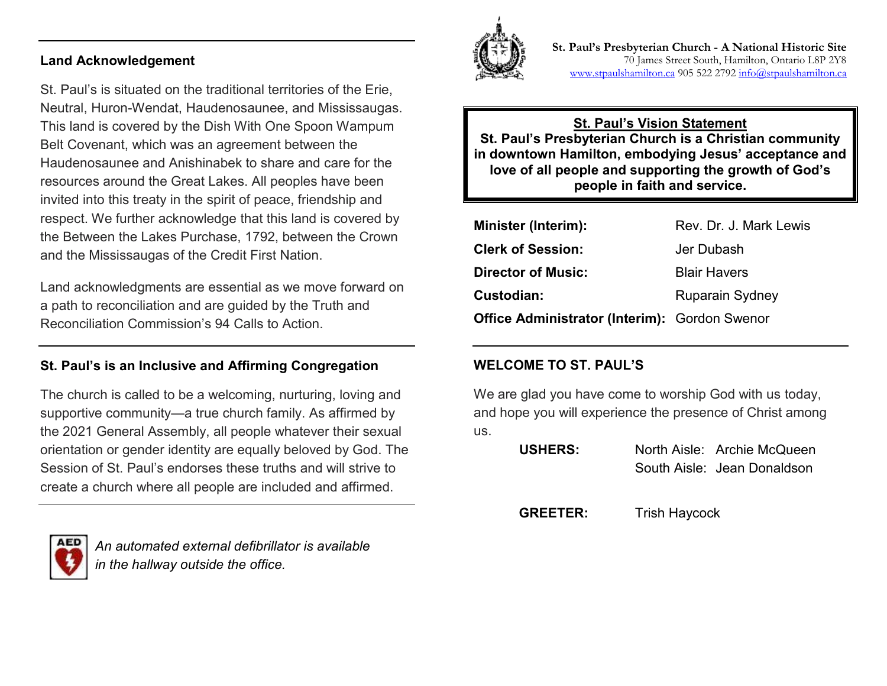#### **Land Acknowledgement**

St. Paul's is situated on the traditional territories of the Erie, Neutral, Huron-Wendat, Haudenosaunee, and Mississaugas. This land is covered by the Dish With One Spoon Wampum Belt Covenant, which was an agreement between the Haudenosaunee and Anishinabek to share and care for the resources around the Great Lakes. All peoples have been invited into this treaty in the spirit of peace, friendship and respect. We further acknowledge that this land is covered by the Between the Lakes Purchase, 1792, between the Crown and the Mississaugas of the Credit First Nation.

Land acknowledgments are essential as we move forward on a path to reconciliation and are guided by the Truth and Reconciliation Commission's 94 Calls to Action.

#### **St. Paul's is an Inclusive and Affirming Congregation**

The church is called to be a welcoming, nurturing, loving and supportive community—a true church family. As affirmed by the 2021 General Assembly, all people whatever their sexual orientation or gender identity are equally beloved by God. The Session of St. Paul's endorses these truths and will strive to create a church where all people are included and affirmed.



*An automated external defibrillator is available in the hallway outside the office.*



**St. Paul's Presbyterian Church - A National Historic Site**  70 James Street South, Hamilton, Ontario L8P 2Y8 [www.stpaulshamilton.ca](http://www.stpaulshamilton.ca/) 905 522 279[2 info@stpaulshamilton.ca](mailto:info@stpaulshamilton.ca)

**St. Paul's Vision Statement St. Paul's Presbyterian Church is a Christian community in downtown Hamilton, embodying Jesus' acceptance and love of all people and supporting the growth of God's people in faith and service.**

| <b>Minister (Interim):</b>                           | Rev. Dr. J. Mark Lewis |
|------------------------------------------------------|------------------------|
| <b>Clerk of Session:</b>                             | Jer Dubash             |
| <b>Director of Music:</b>                            | <b>Blair Havers</b>    |
| Custodian:                                           | <b>Ruparain Sydney</b> |
| <b>Office Administrator (Interim): Gordon Swenor</b> |                        |

#### **WELCOME TO ST. PAUL'S**

We are glad you have come to worship God with us today, and hope you will experience the presence of Christ among us.

| <b>USHERS:</b> | North Aisle: Archie McQueen |
|----------------|-----------------------------|
|                | South Aisle: Jean Donaldson |

**GREETER:** Trish Haycock